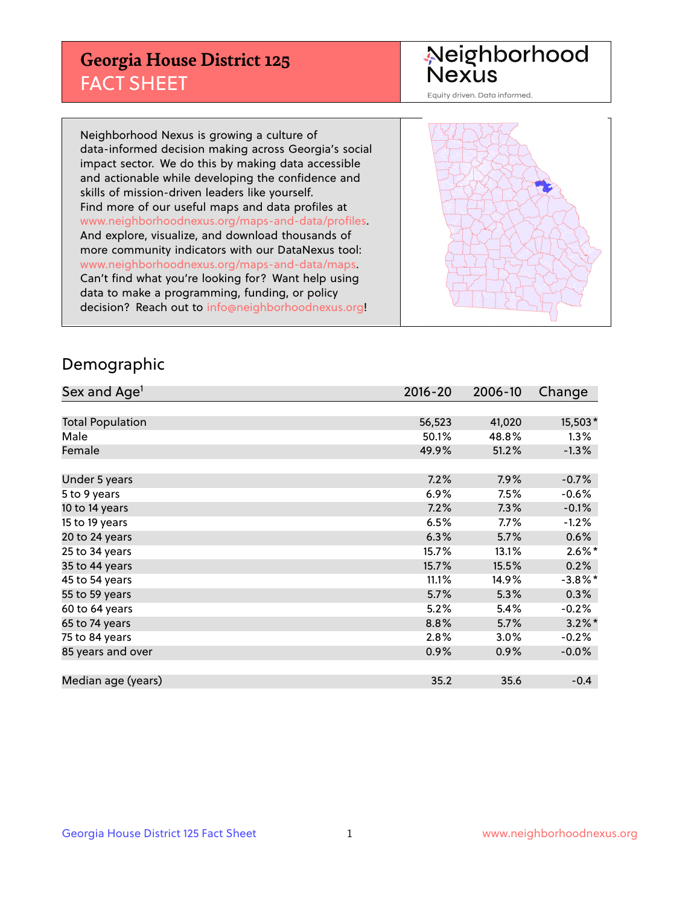## **Georgia House District 125** FACT SHEET

# Neighborhood<br>Nexus

Equity driven. Data informed.

Neighborhood Nexus is growing a culture of data-informed decision making across Georgia's social impact sector. We do this by making data accessible and actionable while developing the confidence and skills of mission-driven leaders like yourself. Find more of our useful maps and data profiles at www.neighborhoodnexus.org/maps-and-data/profiles. And explore, visualize, and download thousands of more community indicators with our DataNexus tool: www.neighborhoodnexus.org/maps-and-data/maps. Can't find what you're looking for? Want help using data to make a programming, funding, or policy decision? Reach out to [info@neighborhoodnexus.org!](mailto:info@neighborhoodnexus.org)



### Demographic

| Sex and Age <sup>1</sup> | $2016 - 20$ | 2006-10 | Change     |
|--------------------------|-------------|---------|------------|
|                          |             |         |            |
| <b>Total Population</b>  | 56,523      | 41,020  | 15,503*    |
| Male                     | 50.1%       | 48.8%   | 1.3%       |
| Female                   | 49.9%       | 51.2%   | $-1.3%$    |
|                          |             |         |            |
| Under 5 years            | 7.2%        | 7.9%    | $-0.7%$    |
| 5 to 9 years             | $6.9\%$     | 7.5%    | $-0.6%$    |
| 10 to 14 years           | 7.2%        | 7.3%    | $-0.1%$    |
| 15 to 19 years           | 6.5%        | 7.7%    | $-1.2%$    |
| 20 to 24 years           | 6.3%        | 5.7%    | 0.6%       |
| 25 to 34 years           | 15.7%       | 13.1%   | $2.6\%$ *  |
| 35 to 44 years           | 15.7%       | 15.5%   | 0.2%       |
| 45 to 54 years           | 11.1%       | 14.9%   | $-3.8\%$ * |
| 55 to 59 years           | 5.7%        | 5.3%    | 0.3%       |
| 60 to 64 years           | 5.2%        | 5.4%    | $-0.2%$    |
| 65 to 74 years           | 8.8%        | 5.7%    | $3.2\%$ *  |
| 75 to 84 years           | 2.8%        | 3.0%    | $-0.2%$    |
| 85 years and over        | 0.9%        | 0.9%    | $-0.0%$    |
|                          |             |         |            |
| Median age (years)       | 35.2        | 35.6    | $-0.4$     |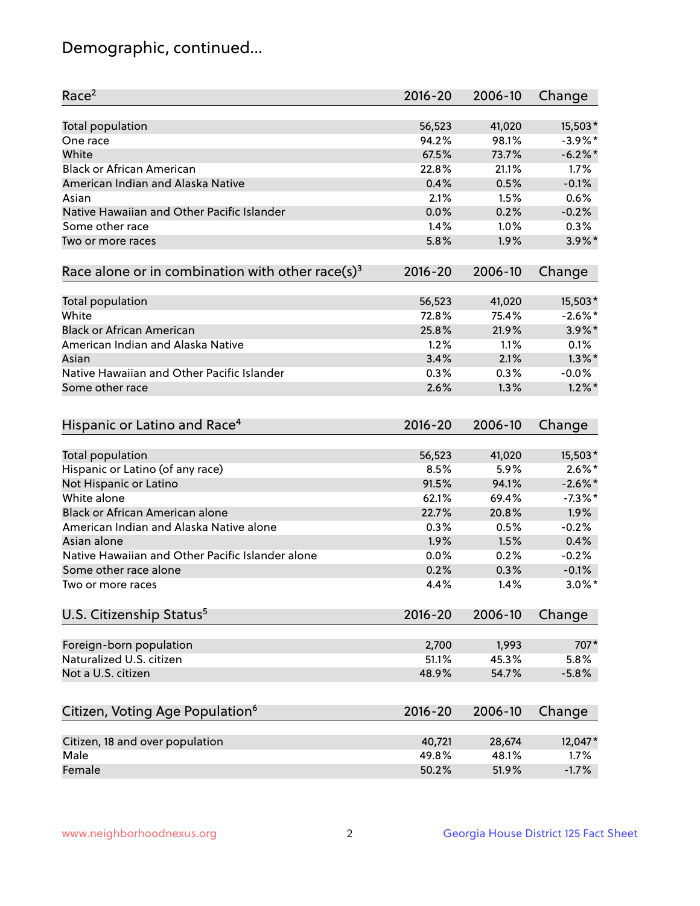## Demographic, continued...

| Race <sup>2</sup>                                            | $2016 - 20$ | 2006-10 | Change     |
|--------------------------------------------------------------|-------------|---------|------------|
| <b>Total population</b>                                      | 56,523      | 41,020  | 15,503*    |
| One race                                                     | 94.2%       | 98.1%   | $-3.9\%$ * |
| White                                                        | 67.5%       | 73.7%   | $-6.2\%$ * |
| <b>Black or African American</b>                             | 22.8%       | 21.1%   | 1.7%       |
| American Indian and Alaska Native                            | 0.4%        | 0.5%    | $-0.1%$    |
| Asian                                                        | 2.1%        | 1.5%    | 0.6%       |
| Native Hawaiian and Other Pacific Islander                   | 0.0%        | 0.2%    | $-0.2%$    |
| Some other race                                              | 1.4%        | 1.0%    | 0.3%       |
| Two or more races                                            | 5.8%        | 1.9%    | $3.9\%$ *  |
| Race alone or in combination with other race(s) <sup>3</sup> | $2016 - 20$ | 2006-10 | Change     |
| Total population                                             | 56,523      | 41,020  | 15,503*    |
| White                                                        | 72.8%       | 75.4%   | $-2.6\%$ * |
| <b>Black or African American</b>                             | 25.8%       | 21.9%   | $3.9\%$ *  |
| American Indian and Alaska Native                            | 1.2%        | 1.1%    | 0.1%       |
| Asian                                                        | 3.4%        | 2.1%    | $1.3\%$ *  |
| Native Hawaiian and Other Pacific Islander                   | 0.3%        | 0.3%    | $-0.0%$    |
| Some other race                                              | 2.6%        | 1.3%    | $1.2\%$ *  |
| Hispanic or Latino and Race <sup>4</sup>                     | $2016 - 20$ | 2006-10 | Change     |
| Total population                                             | 56,523      | 41,020  | 15,503*    |
| Hispanic or Latino (of any race)                             | 8.5%        | 5.9%    | $2.6\%$ *  |
| Not Hispanic or Latino                                       | 91.5%       | 94.1%   | $-2.6\%$ * |
| White alone                                                  | 62.1%       | 69.4%   | $-7.3\%$ * |
| <b>Black or African American alone</b>                       | 22.7%       | 20.8%   | 1.9%       |
| American Indian and Alaska Native alone                      | 0.3%        | 0.5%    | $-0.2%$    |
| Asian alone                                                  | 1.9%        | 1.5%    | 0.4%       |
| Native Hawaiian and Other Pacific Islander alone             | 0.0%        | 0.2%    | $-0.2%$    |
| Some other race alone                                        | 0.2%        | 0.3%    | $-0.1%$    |
| Two or more races                                            | 4.4%        | 1.4%    | $3.0\%$ *  |
| U.S. Citizenship Status <sup>5</sup>                         | $2016 - 20$ | 2006-10 | Change     |
| Foreign-born population                                      | 2,700       | 1,993   | 707*       |
| Naturalized U.S. citizen                                     | 51.1%       | 45.3%   | 5.8%       |
| Not a U.S. citizen                                           | 48.9%       | 54.7%   | $-5.8%$    |
|                                                              |             |         |            |
| Citizen, Voting Age Population <sup>6</sup>                  | $2016 - 20$ | 2006-10 | Change     |
| Citizen, 18 and over population                              | 40,721      | 28,674  | 12,047*    |
| Male                                                         | 49.8%       | 48.1%   | 1.7%       |
| Female                                                       | 50.2%       | 51.9%   | $-1.7%$    |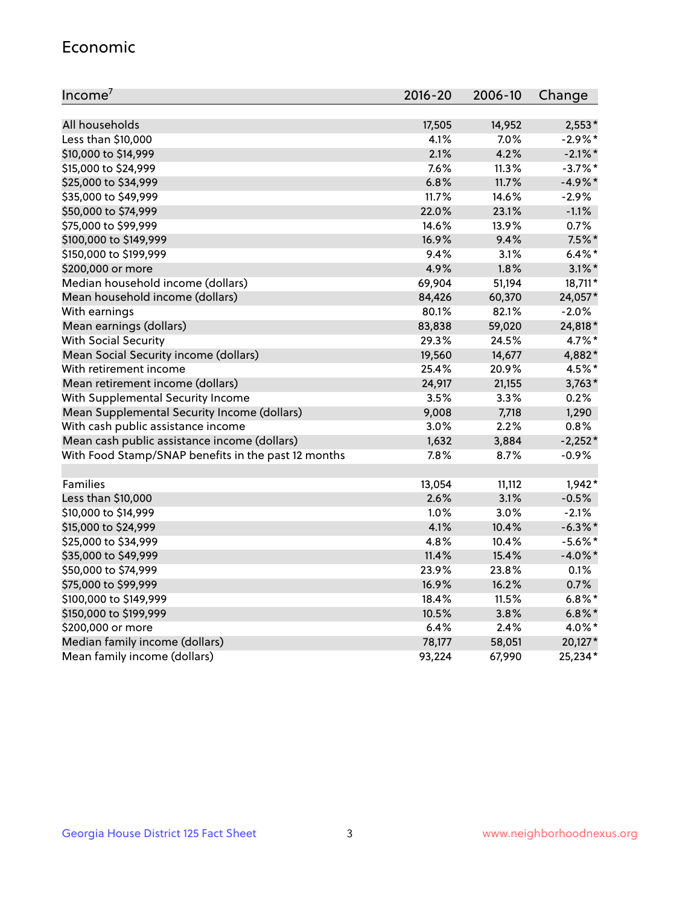#### Economic

| Income <sup>7</sup>                                 | $2016 - 20$ | 2006-10 | Change     |
|-----------------------------------------------------|-------------|---------|------------|
|                                                     |             |         |            |
| All households                                      | 17,505      | 14,952  | $2,553*$   |
| Less than \$10,000                                  | 4.1%        | 7.0%    | $-2.9\%$ * |
| \$10,000 to \$14,999                                | 2.1%        | 4.2%    | $-2.1\%$ * |
| \$15,000 to \$24,999                                | 7.6%        | 11.3%   | $-3.7%$ *  |
| \$25,000 to \$34,999                                | 6.8%        | 11.7%   | $-4.9%$ *  |
| \$35,000 to \$49,999                                | 11.7%       | 14.6%   | $-2.9%$    |
| \$50,000 to \$74,999                                | 22.0%       | 23.1%   | $-1.1%$    |
| \$75,000 to \$99,999                                | 14.6%       | 13.9%   | 0.7%       |
| \$100,000 to \$149,999                              | 16.9%       | 9.4%    | $7.5\%$ *  |
| \$150,000 to \$199,999                              | 9.4%        | 3.1%    | $6.4\%$ *  |
| \$200,000 or more                                   | 4.9%        | 1.8%    | $3.1\%$ *  |
| Median household income (dollars)                   | 69,904      | 51,194  | 18,711*    |
| Mean household income (dollars)                     | 84,426      | 60,370  | 24,057*    |
| With earnings                                       | 80.1%       | 82.1%   | $-2.0%$    |
| Mean earnings (dollars)                             | 83,838      | 59,020  | 24,818*    |
| <b>With Social Security</b>                         | 29.3%       | 24.5%   | 4.7%*      |
| Mean Social Security income (dollars)               | 19,560      | 14,677  | 4,882*     |
| With retirement income                              | 25.4%       | 20.9%   | 4.5%*      |
| Mean retirement income (dollars)                    | 24,917      | 21,155  | $3,763*$   |
| With Supplemental Security Income                   | 3.5%        | $3.3\%$ | 0.2%       |
| Mean Supplemental Security Income (dollars)         | 9,008       | 7,718   | 1,290      |
| With cash public assistance income                  | 3.0%        | 2.2%    | 0.8%       |
| Mean cash public assistance income (dollars)        | 1,632       | 3,884   | $-2,252*$  |
| With Food Stamp/SNAP benefits in the past 12 months | 7.8%        | 8.7%    | $-0.9%$    |
|                                                     |             |         |            |
| Families                                            | 13,054      | 11,112  | $1,942*$   |
| Less than \$10,000                                  | 2.6%        | 3.1%    | $-0.5%$    |
| \$10,000 to \$14,999                                | 1.0%        | 3.0%    | $-2.1%$    |
| \$15,000 to \$24,999                                | 4.1%        | 10.4%   | $-6.3\%$ * |
| \$25,000 to \$34,999                                | 4.8%        | 10.4%   | $-5.6\%$ * |
| \$35,000 to \$49,999                                | 11.4%       | 15.4%   | $-4.0\%$ * |
| \$50,000 to \$74,999                                | 23.9%       | 23.8%   | 0.1%       |
| \$75,000 to \$99,999                                | 16.9%       | 16.2%   | 0.7%       |
| \$100,000 to \$149,999                              | 18.4%       | 11.5%   | $6.8\%$ *  |
| \$150,000 to \$199,999                              | 10.5%       | 3.8%    | $6.8\%$ *  |
| \$200,000 or more                                   | 6.4%        | 2.4%    | 4.0%*      |
| Median family income (dollars)                      | 78,177      | 58,051  | 20,127*    |
| Mean family income (dollars)                        | 93,224      | 67,990  | 25,234*    |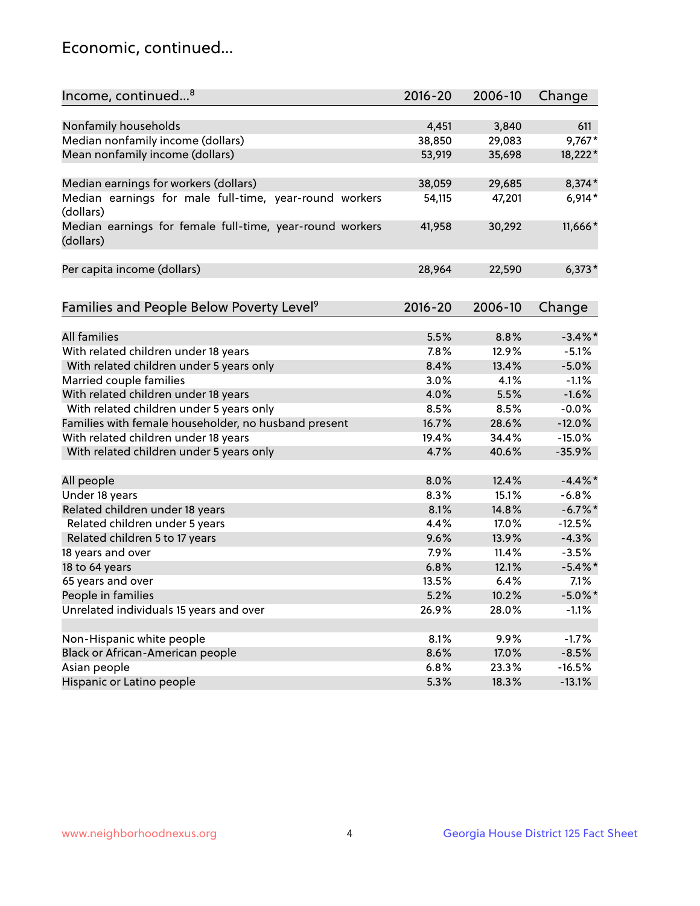## Economic, continued...

| Income, continued <sup>8</sup>                           | $2016 - 20$ | 2006-10 | Change     |
|----------------------------------------------------------|-------------|---------|------------|
|                                                          |             |         |            |
| Nonfamily households                                     | 4,451       | 3,840   | 611        |
| Median nonfamily income (dollars)                        | 38,850      | 29,083  | 9,767*     |
| Mean nonfamily income (dollars)                          | 53,919      | 35,698  | 18,222*    |
|                                                          |             |         |            |
| Median earnings for workers (dollars)                    | 38,059      | 29,685  | 8,374*     |
| Median earnings for male full-time, year-round workers   | 54,115      | 47,201  | $6,914*$   |
| (dollars)                                                |             |         |            |
| Median earnings for female full-time, year-round workers | 41,958      | 30,292  | 11,666*    |
| (dollars)                                                |             |         |            |
|                                                          |             |         |            |
| Per capita income (dollars)                              | 28,964      | 22,590  | $6,373*$   |
|                                                          |             |         |            |
|                                                          | 2016-20     | 2006-10 |            |
| Families and People Below Poverty Level <sup>9</sup>     |             |         | Change     |
| <b>All families</b>                                      | 5.5%        | 8.8%    | $-3.4\%$ * |
| With related children under 18 years                     | 7.8%        | 12.9%   | $-5.1%$    |
| With related children under 5 years only                 | 8.4%        | 13.4%   | $-5.0%$    |
| Married couple families                                  | 3.0%        | 4.1%    | $-1.1%$    |
| With related children under 18 years                     | 4.0%        | 5.5%    | $-1.6%$    |
| With related children under 5 years only                 | 8.5%        | 8.5%    | $-0.0%$    |
| Families with female householder, no husband present     | 16.7%       | 28.6%   | $-12.0%$   |
| With related children under 18 years                     | 19.4%       | 34.4%   | $-15.0%$   |
|                                                          | 4.7%        | 40.6%   |            |
| With related children under 5 years only                 |             |         | $-35.9%$   |
| All people                                               | 8.0%        | 12.4%   | $-4.4\%$ * |
| Under 18 years                                           | 8.3%        | 15.1%   | $-6.8%$    |
| Related children under 18 years                          | 8.1%        | 14.8%   | $-6.7\%$ * |
| Related children under 5 years                           | 4.4%        | 17.0%   | $-12.5%$   |
| Related children 5 to 17 years                           | 9.6%        | 13.9%   | $-4.3%$    |
| 18 years and over                                        | 7.9%        | 11.4%   | $-3.5%$    |
| 18 to 64 years                                           | 6.8%        | 12.1%   | $-5.4\%$ * |
| 65 years and over                                        | 13.5%       | 6.4%    | 7.1%       |
| People in families                                       | 5.2%        | 10.2%   | $-5.0\%$ * |
| Unrelated individuals 15 years and over                  | 26.9%       | 28.0%   | $-1.1%$    |
|                                                          |             |         |            |
| Non-Hispanic white people                                | 8.1%        | 9.9%    | $-1.7%$    |
| Black or African-American people                         | 8.6%        | 17.0%   | $-8.5%$    |
| Asian people                                             | 6.8%        | 23.3%   | $-16.5%$   |
| Hispanic or Latino people                                | 5.3%        | 18.3%   | $-13.1%$   |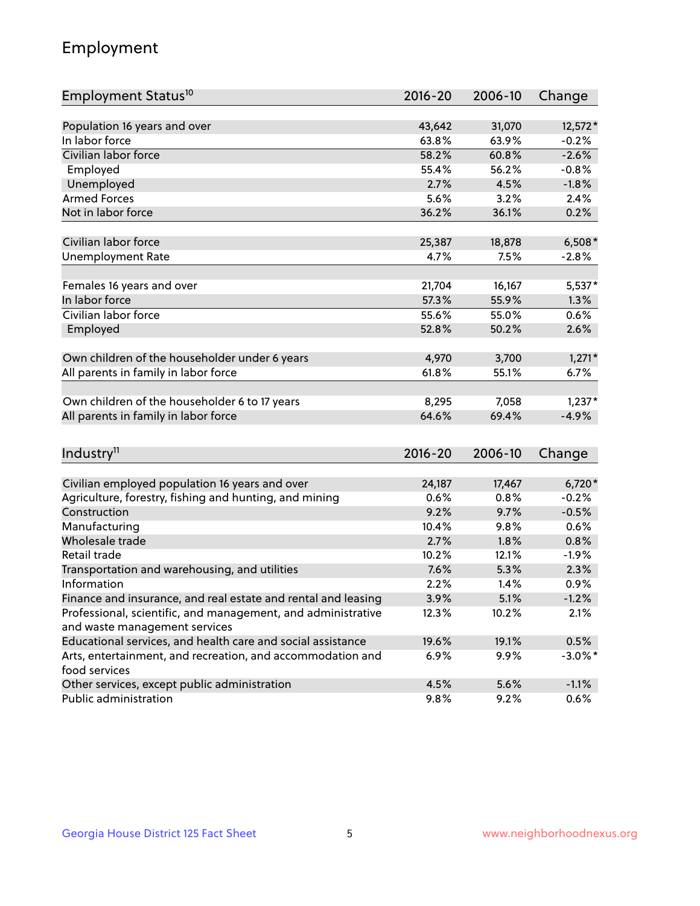## Employment

| Employment Status <sup>10</sup>                                             | $2016 - 20$ | 2006-10 | Change     |
|-----------------------------------------------------------------------------|-------------|---------|------------|
|                                                                             |             |         |            |
| Population 16 years and over                                                | 43,642      | 31,070  | 12,572*    |
| In labor force                                                              | 63.8%       | 63.9%   | $-0.2%$    |
| Civilian labor force                                                        | 58.2%       | 60.8%   | $-2.6%$    |
| Employed                                                                    | 55.4%       | 56.2%   | $-0.8%$    |
| Unemployed                                                                  | 2.7%        | 4.5%    | $-1.8%$    |
| <b>Armed Forces</b>                                                         | 5.6%        | 3.2%    | 2.4%       |
| Not in labor force                                                          | 36.2%       | 36.1%   | 0.2%       |
|                                                                             |             |         |            |
| Civilian labor force                                                        | 25,387      | 18,878  | $6,508*$   |
| <b>Unemployment Rate</b>                                                    | 4.7%        | 7.5%    | $-2.8%$    |
| Females 16 years and over                                                   | 21,704      | 16,167  | $5,537*$   |
| In labor force                                                              | 57.3%       | 55.9%   | 1.3%       |
| Civilian labor force                                                        | 55.6%       | 55.0%   | 0.6%       |
| Employed                                                                    | 52.8%       | 50.2%   | 2.6%       |
|                                                                             |             |         |            |
| Own children of the householder under 6 years                               | 4,970       | 3,700   | $1,271*$   |
| All parents in family in labor force                                        | 61.8%       | 55.1%   | 6.7%       |
|                                                                             |             |         |            |
| Own children of the householder 6 to 17 years                               | 8,295       | 7,058   | $1,237*$   |
| All parents in family in labor force                                        | 64.6%       | 69.4%   | $-4.9%$    |
|                                                                             |             |         |            |
| Industry <sup>11</sup>                                                      | $2016 - 20$ | 2006-10 | Change     |
|                                                                             |             |         |            |
| Civilian employed population 16 years and over                              | 24,187      | 17,467  | $6,720*$   |
| Agriculture, forestry, fishing and hunting, and mining                      | 0.6%        | 0.8%    | $-0.2%$    |
| Construction                                                                | 9.2%        | 9.7%    | $-0.5%$    |
| Manufacturing                                                               | 10.4%       | 9.8%    | 0.6%       |
| Wholesale trade                                                             | 2.7%        | 1.8%    | 0.8%       |
| Retail trade                                                                | 10.2%       | 12.1%   | $-1.9%$    |
| Transportation and warehousing, and utilities                               | 7.6%        | 5.3%    | 2.3%       |
| Information                                                                 | 2.2%        | 1.4%    | 0.9%       |
| Finance and insurance, and real estate and rental and leasing               | 3.9%        | 5.1%    | $-1.2%$    |
| Professional, scientific, and management, and administrative                | 12.3%       | 10.2%   | 2.1%       |
| and waste management services                                               |             |         |            |
| Educational services, and health care and social assistance                 | 19.6%       | 19.1%   | 0.5%       |
| Arts, entertainment, and recreation, and accommodation and<br>food services | 6.9%        | 9.9%    | $-3.0\%$ * |
| Other services, except public administration                                | 4.5%        | 5.6%    | $-1.1%$    |
| Public administration                                                       | 9.8%        | 9.2%    | 0.6%       |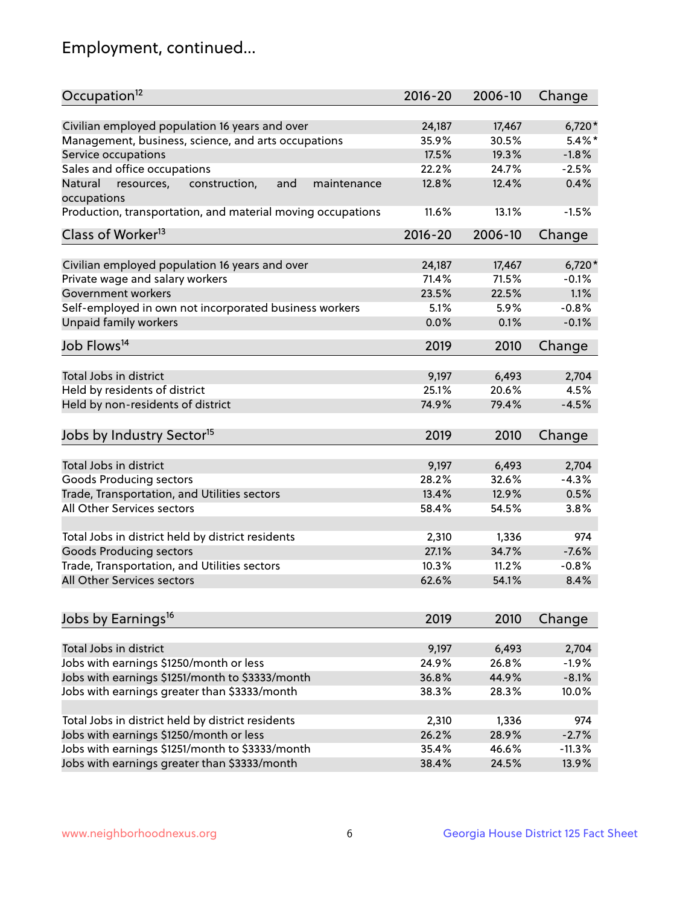## Employment, continued...

| Occupation <sup>12</sup>                                                    | $2016 - 20$ | 2006-10 | Change    |
|-----------------------------------------------------------------------------|-------------|---------|-----------|
| Civilian employed population 16 years and over                              | 24,187      | 17,467  | 6,720*    |
| Management, business, science, and arts occupations                         | 35.9%       | 30.5%   | $5.4\%$ * |
| Service occupations                                                         | 17.5%       | 19.3%   | $-1.8%$   |
| Sales and office occupations                                                | 22.2%       | 24.7%   | $-2.5%$   |
|                                                                             |             |         | 0.4%      |
| Natural<br>and<br>resources,<br>construction,<br>maintenance<br>occupations | 12.8%       | 12.4%   |           |
| Production, transportation, and material moving occupations                 | 11.6%       | 13.1%   | $-1.5%$   |
| Class of Worker <sup>13</sup>                                               | $2016 - 20$ | 2006-10 | Change    |
|                                                                             |             |         |           |
| Civilian employed population 16 years and over                              | 24,187      | 17,467  | $6,720*$  |
| Private wage and salary workers                                             | 71.4%       | 71.5%   | $-0.1%$   |
| Government workers                                                          | 23.5%       | 22.5%   | 1.1%      |
| Self-employed in own not incorporated business workers                      | 5.1%        | 5.9%    | $-0.8%$   |
| Unpaid family workers                                                       | 0.0%        | 0.1%    | $-0.1%$   |
| Job Flows <sup>14</sup>                                                     | 2019        | 2010    | Change    |
|                                                                             |             |         |           |
| Total Jobs in district                                                      | 9,197       | 6,493   | 2,704     |
| Held by residents of district                                               | 25.1%       | 20.6%   | 4.5%      |
| Held by non-residents of district                                           | 74.9%       | 79.4%   | $-4.5%$   |
| Jobs by Industry Sector <sup>15</sup>                                       | 2019        | 2010    | Change    |
|                                                                             |             |         |           |
| Total Jobs in district                                                      | 9,197       | 6,493   | 2,704     |
| Goods Producing sectors                                                     | 28.2%       | 32.6%   | $-4.3%$   |
| Trade, Transportation, and Utilities sectors                                | 13.4%       | 12.9%   | 0.5%      |
| All Other Services sectors                                                  | 58.4%       | 54.5%   | 3.8%      |
|                                                                             |             |         |           |
| Total Jobs in district held by district residents                           | 2,310       | 1,336   | 974       |
| <b>Goods Producing sectors</b>                                              | 27.1%       | 34.7%   | $-7.6%$   |
| Trade, Transportation, and Utilities sectors                                | 10.3%       | 11.2%   | $-0.8%$   |
| All Other Services sectors                                                  | 62.6%       | 54.1%   | 8.4%      |
|                                                                             |             |         |           |
| Jobs by Earnings <sup>16</sup>                                              | 2019        | 2010    | Change    |
|                                                                             |             |         |           |
| Total Jobs in district                                                      | 9,197       | 6,493   | 2,704     |
| Jobs with earnings \$1250/month or less                                     | 24.9%       | 26.8%   | $-1.9%$   |
| Jobs with earnings \$1251/month to \$3333/month                             | 36.8%       | 44.9%   | $-8.1%$   |
| Jobs with earnings greater than \$3333/month                                | 38.3%       | 28.3%   | 10.0%     |
| Total Jobs in district held by district residents                           | 2,310       | 1,336   | 974       |
| Jobs with earnings \$1250/month or less                                     | 26.2%       | 28.9%   | $-2.7%$   |
| Jobs with earnings \$1251/month to \$3333/month                             | 35.4%       | 46.6%   | $-11.3%$  |
| Jobs with earnings greater than \$3333/month                                | 38.4%       | 24.5%   | 13.9%     |
|                                                                             |             |         |           |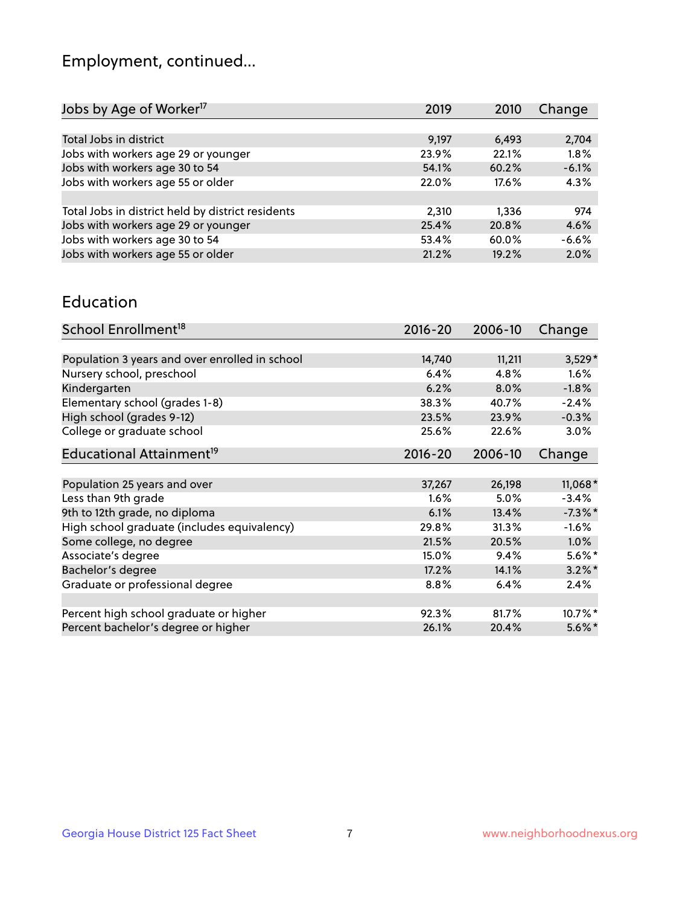## Employment, continued...

| Jobs by Age of Worker <sup>17</sup>               | 2019  | 2010  | Change  |
|---------------------------------------------------|-------|-------|---------|
|                                                   |       |       |         |
| Total Jobs in district                            | 9,197 | 6,493 | 2,704   |
| Jobs with workers age 29 or younger               | 23.9% | 22.1% | 1.8%    |
| Jobs with workers age 30 to 54                    | 54.1% | 60.2% | $-6.1%$ |
| Jobs with workers age 55 or older                 | 22.0% | 17.6% | 4.3%    |
|                                                   |       |       |         |
| Total Jobs in district held by district residents | 2,310 | 1.336 | 974     |
| Jobs with workers age 29 or younger               | 25.4% | 20.8% | 4.6%    |
| Jobs with workers age 30 to 54                    | 53.4% | 60.0% | $-6.6%$ |
| Jobs with workers age 55 or older                 | 21.2% | 19.2% | 2.0%    |
|                                                   |       |       |         |

#### Education

| School Enrollment <sup>18</sup>                | $2016 - 20$ | 2006-10 | Change     |
|------------------------------------------------|-------------|---------|------------|
|                                                |             |         |            |
| Population 3 years and over enrolled in school | 14,740      | 11,211  | $3,529*$   |
| Nursery school, preschool                      | 6.4%        | 4.8%    | $1.6\%$    |
| Kindergarten                                   | 6.2%        | $8.0\%$ | $-1.8%$    |
| Elementary school (grades 1-8)                 | 38.3%       | 40.7%   | $-2.4%$    |
| High school (grades 9-12)                      | 23.5%       | 23.9%   | $-0.3%$    |
| College or graduate school                     | 25.6%       | 22.6%   | $3.0\%$    |
| Educational Attainment <sup>19</sup>           | $2016 - 20$ | 2006-10 | Change     |
|                                                |             |         |            |
| Population 25 years and over                   | 37,267      | 26,198  | 11,068*    |
| Less than 9th grade                            | 1.6%        | 5.0%    | $-3.4%$    |
| 9th to 12th grade, no diploma                  | 6.1%        | 13.4%   | $-7.3\%$ * |
| High school graduate (includes equivalency)    | 29.8%       | 31.3%   | $-1.6%$    |
| Some college, no degree                        | 21.5%       | 20.5%   | 1.0%       |
| Associate's degree                             | 15.0%       | 9.4%    | $5.6\%*$   |
| Bachelor's degree                              | 17.2%       | 14.1%   | $3.2\%$ *  |
| Graduate or professional degree                | 8.8%        | 6.4%    | $2.4\%$    |
|                                                |             |         |            |
| Percent high school graduate or higher         | 92.3%       | 81.7%   | 10.7%*     |
| Percent bachelor's degree or higher            | 26.1%       | 20.4%   | $5.6\%$ *  |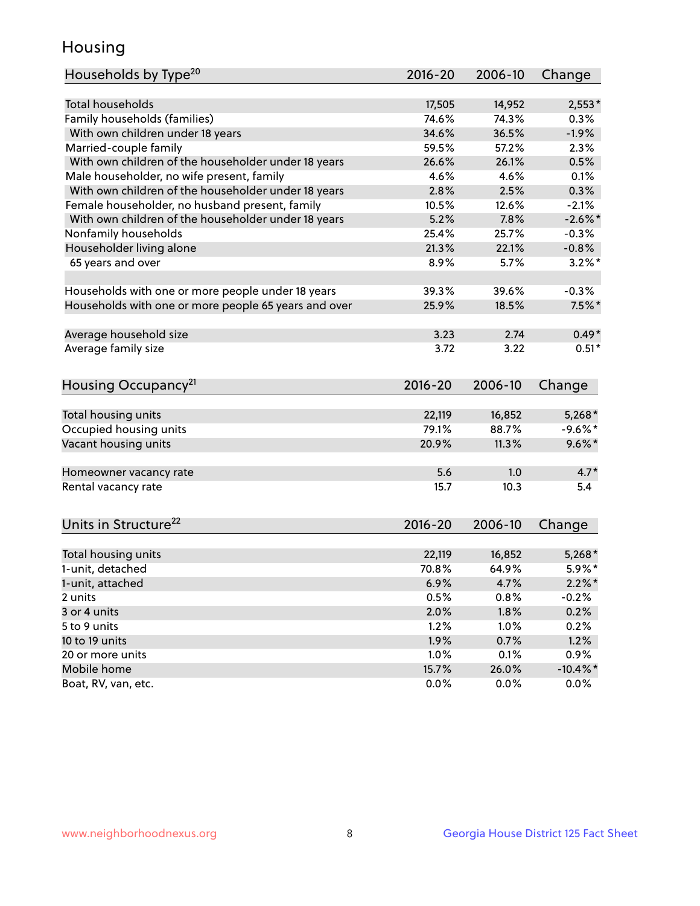## Housing

| Households by Type <sup>20</sup>                     | 2016-20      | 2006-10 | Change               |
|------------------------------------------------------|--------------|---------|----------------------|
|                                                      |              |         |                      |
| <b>Total households</b>                              | 17,505       | 14,952  | $2,553*$             |
| Family households (families)                         | 74.6%        | 74.3%   | 0.3%                 |
| With own children under 18 years                     | 34.6%        | 36.5%   | $-1.9%$              |
| Married-couple family                                | 59.5%        | 57.2%   | 2.3%                 |
| With own children of the householder under 18 years  | 26.6%        | 26.1%   | 0.5%                 |
| Male householder, no wife present, family            | 4.6%         | 4.6%    | 0.1%                 |
| With own children of the householder under 18 years  | 2.8%         | 2.5%    | 0.3%                 |
| Female householder, no husband present, family       | 10.5%        | 12.6%   | $-2.1%$              |
| With own children of the householder under 18 years  | 5.2%         | 7.8%    | $-2.6\%$ *           |
| Nonfamily households                                 | 25.4%        | 25.7%   | $-0.3%$              |
| Householder living alone                             | 21.3%        | 22.1%   | $-0.8%$              |
| 65 years and over                                    | 8.9%         | 5.7%    | $3.2\%$ *            |
|                                                      |              |         |                      |
| Households with one or more people under 18 years    | 39.3%        | 39.6%   | $-0.3%$              |
| Households with one or more people 65 years and over | 25.9%        | 18.5%   | $7.5%$ *             |
| Average household size                               | 3.23         | 2.74    | $0.49*$              |
| Average family size                                  | 3.72         | 3.22    | $0.51*$              |
|                                                      |              |         |                      |
| Housing Occupancy <sup>21</sup>                      | 2016-20      | 2006-10 | Change               |
| Total housing units                                  | 22,119       | 16,852  | $5,268*$             |
| Occupied housing units                               | 79.1%        | 88.7%   | $-9.6%$ *            |
| Vacant housing units                                 | 20.9%        | 11.3%   | $9.6\%$ *            |
|                                                      |              |         |                      |
| Homeowner vacancy rate                               | 5.6          | 1.0     | $4.7*$               |
| Rental vacancy rate                                  | 15.7         | 10.3    | 5.4                  |
|                                                      |              |         |                      |
| Units in Structure <sup>22</sup>                     | 2016-20      | 2006-10 | Change               |
| Total housing units                                  | 22,119       | 16,852  | $5,268*$             |
| 1-unit, detached                                     | 70.8%        | 64.9%   | 5.9%*                |
|                                                      |              | 4.7%    |                      |
| 1-unit, attached<br>2 units                          | 6.9%<br>0.5% | 0.8%    | $2.2\%$ *<br>$-0.2%$ |
| 3 or 4 units                                         |              | 1.8%    |                      |
|                                                      | 2.0%         |         | 0.2%                 |
| 5 to 9 units                                         | 1.2%         | 1.0%    | 0.2%                 |
| 10 to 19 units                                       | 1.9%         | 0.7%    | 1.2%                 |
| 20 or more units                                     | 1.0%         | 0.1%    | 0.9%                 |
| Mobile home                                          | 15.7%        | 26.0%   | $-10.4\%$ *          |
| Boat, RV, van, etc.                                  | 0.0%         | 0.0%    | $0.0\%$              |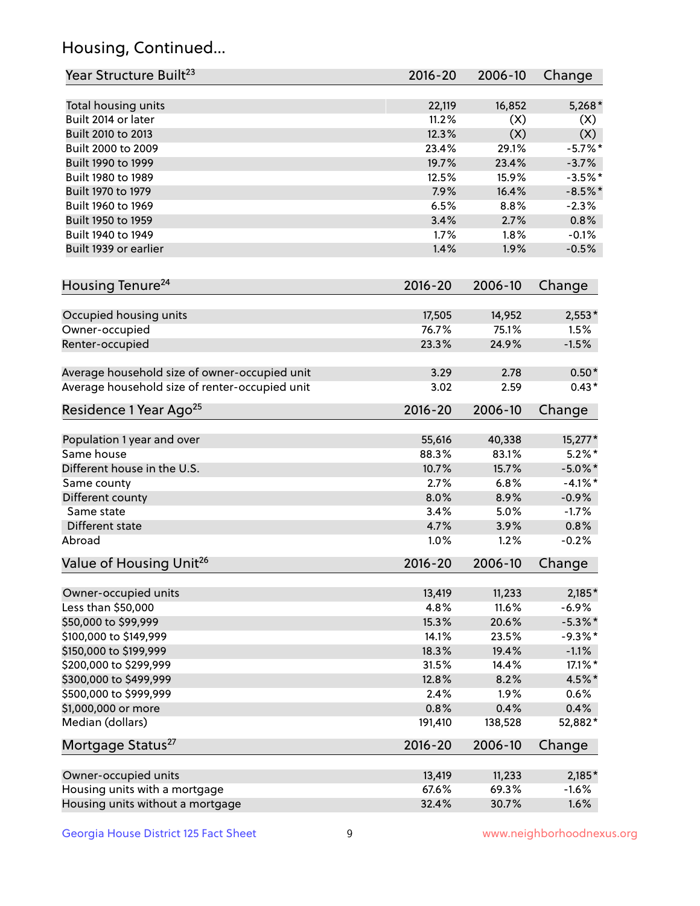## Housing, Continued...

| Year Structure Built <sup>23</sup>             | 2016-20     | 2006-10 | Change     |
|------------------------------------------------|-------------|---------|------------|
| Total housing units                            | 22,119      | 16,852  | $5,268*$   |
| Built 2014 or later                            | 11.2%       | (X)     | (X)        |
| Built 2010 to 2013                             | 12.3%       | (X)     | (X)        |
| Built 2000 to 2009                             | 23.4%       | 29.1%   | $-5.7\%$ * |
| Built 1990 to 1999                             | 19.7%       | 23.4%   | $-3.7%$    |
| Built 1980 to 1989                             | 12.5%       | 15.9%   | $-3.5%$ *  |
| Built 1970 to 1979                             | 7.9%        | 16.4%   | $-8.5%$ *  |
| Built 1960 to 1969                             | 6.5%        | 8.8%    | $-2.3%$    |
| Built 1950 to 1959                             | 3.4%        | 2.7%    | 0.8%       |
| Built 1940 to 1949                             | 1.7%        | 1.8%    | $-0.1%$    |
|                                                |             |         |            |
| Built 1939 or earlier                          | 1.4%        | 1.9%    | $-0.5%$    |
| Housing Tenure <sup>24</sup>                   | $2016 - 20$ | 2006-10 | Change     |
| Occupied housing units                         | 17,505      | 14,952  | $2,553*$   |
| Owner-occupied                                 | 76.7%       | 75.1%   | 1.5%       |
| Renter-occupied                                | 23.3%       | 24.9%   | $-1.5%$    |
|                                                |             |         |            |
| Average household size of owner-occupied unit  | 3.29        | 2.78    | $0.50*$    |
| Average household size of renter-occupied unit | 3.02        | 2.59    | $0.43*$    |
| Residence 1 Year Ago <sup>25</sup>             | 2016-20     | 2006-10 | Change     |
| Population 1 year and over                     | 55,616      | 40,338  | 15,277*    |
| Same house                                     | 88.3%       | 83.1%   | $5.2\%$ *  |
| Different house in the U.S.                    | 10.7%       | 15.7%   | $-5.0\%$ * |
| Same county                                    | 2.7%        | 6.8%    | $-4.1%$ *  |
| Different county                               | 8.0%        | 8.9%    | $-0.9%$    |
| Same state                                     | 3.4%        | 5.0%    | $-1.7%$    |
| Different state                                | 4.7%        | 3.9%    | 0.8%       |
|                                                |             |         | $-0.2%$    |
| Abroad                                         | 1.0%        | 1.2%    |            |
| Value of Housing Unit <sup>26</sup>            | $2016 - 20$ | 2006-10 | Change     |
| Owner-occupied units                           | 13,419      | 11,233  | $2,185*$   |
| Less than \$50,000                             | 4.8%        | 11.6%   | $-6.9%$    |
| \$50,000 to \$99,999                           | 15.3%       | 20.6%   | $-5.3\%$ * |
| \$100,000 to \$149,999                         | 14.1%       | 23.5%   | $-9.3%$ *  |
| \$150,000 to \$199,999                         | 18.3%       | 19.4%   | $-1.1%$    |
| \$200,000 to \$299,999                         | 31.5%       | 14.4%   | 17.1%*     |
| \$300,000 to \$499,999                         | 12.8%       | 8.2%    | 4.5%*      |
| \$500,000 to \$999,999                         | 2.4%        | 1.9%    | 0.6%       |
| \$1,000,000 or more                            | 0.8%        | 0.4%    | 0.4%       |
| Median (dollars)                               | 191,410     | 138,528 | 52,882*    |
| Mortgage Status <sup>27</sup>                  | $2016 - 20$ | 2006-10 | Change     |
|                                                |             |         |            |
| Owner-occupied units                           | 13,419      | 11,233  | $2,185*$   |
| Housing units with a mortgage                  | 67.6%       | 69.3%   | $-1.6%$    |
| Housing units without a mortgage               | 32.4%       | 30.7%   | 1.6%       |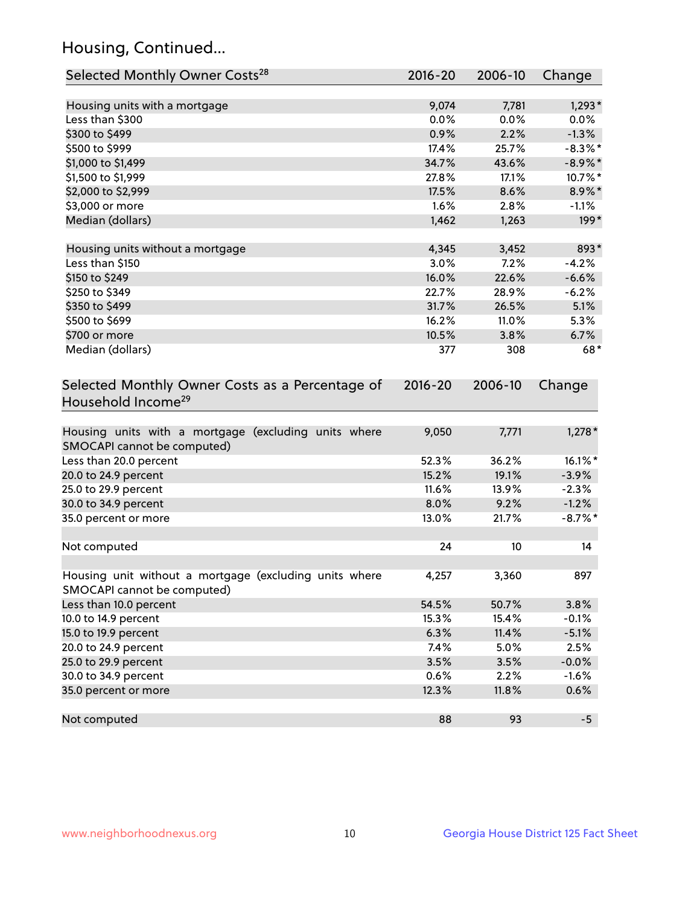## Housing, Continued...

| Selected Monthly Owner Costs <sup>28</sup>                                            | 2016-20     | 2006-10 | Change     |
|---------------------------------------------------------------------------------------|-------------|---------|------------|
| Housing units with a mortgage                                                         | 9,074       | 7,781   | $1,293*$   |
| Less than \$300                                                                       | 0.0%        | 0.0%    | $0.0\%$    |
| \$300 to \$499                                                                        | 0.9%        | 2.2%    | $-1.3%$    |
| \$500 to \$999                                                                        | 17.4%       | 25.7%   | $-8.3\%$ * |
| \$1,000 to \$1,499                                                                    | 34.7%       | 43.6%   | $-8.9\%$ * |
| \$1,500 to \$1,999                                                                    | 27.8%       | 17.1%   | 10.7%*     |
| \$2,000 to \$2,999                                                                    | 17.5%       | 8.6%    | 8.9%*      |
| \$3,000 or more                                                                       | 1.6%        | 2.8%    | $-1.1%$    |
| Median (dollars)                                                                      | 1,462       | 1,263   | $199*$     |
| Housing units without a mortgage                                                      | 4,345       | 3,452   | 893*       |
| Less than \$150                                                                       | 3.0%        | 7.2%    | $-4.2%$    |
| \$150 to \$249                                                                        | 16.0%       | 22.6%   | $-6.6%$    |
| \$250 to \$349                                                                        | 22.7%       | 28.9%   | $-6.2%$    |
| \$350 to \$499                                                                        | 31.7%       | 26.5%   | 5.1%       |
| \$500 to \$699                                                                        | 16.2%       | 11.0%   | 5.3%       |
| \$700 or more                                                                         | 10.5%       | 3.8%    | 6.7%       |
| Median (dollars)                                                                      | 377         | 308     | $68*$      |
| Selected Monthly Owner Costs as a Percentage of<br>Household Income <sup>29</sup>     | $2016 - 20$ | 2006-10 | Change     |
| Housing units with a mortgage (excluding units where<br>SMOCAPI cannot be computed)   | 9,050       | 7,771   | $1,278*$   |
| Less than 20.0 percent                                                                | 52.3%       | 36.2%   | 16.1%*     |
| 20.0 to 24.9 percent                                                                  | 15.2%       | 19.1%   | $-3.9%$    |
| 25.0 to 29.9 percent                                                                  | 11.6%       | 13.9%   | $-2.3%$    |
| 30.0 to 34.9 percent                                                                  | 8.0%        | 9.2%    | $-1.2%$    |
| 35.0 percent or more                                                                  | 13.0%       | 21.7%   | $-8.7\%$ * |
| Not computed                                                                          | 24          | 10      | 14         |
| Housing unit without a mortgage (excluding units where<br>SMOCAPI cannot be computed) | 4,257       | 3,360   | 897        |
| Less than 10.0 percent                                                                | 54.5%       | 50.7%   | 3.8%       |
| 10.0 to 14.9 percent                                                                  | 15.3%       | 15.4%   | $-0.1%$    |
| 15.0 to 19.9 percent                                                                  | 6.3%        | 11.4%   | $-5.1%$    |
| 20.0 to 24.9 percent                                                                  | 7.4%        | 5.0%    | 2.5%       |
| 25.0 to 29.9 percent                                                                  | 3.5%        | 3.5%    | $-0.0%$    |
| 30.0 to 34.9 percent                                                                  | 0.6%        | 2.2%    | $-1.6%$    |
| 35.0 percent or more                                                                  | 12.3%       | 11.8%   | 0.6%       |
| Not computed                                                                          | 88          | 93      | $-5$       |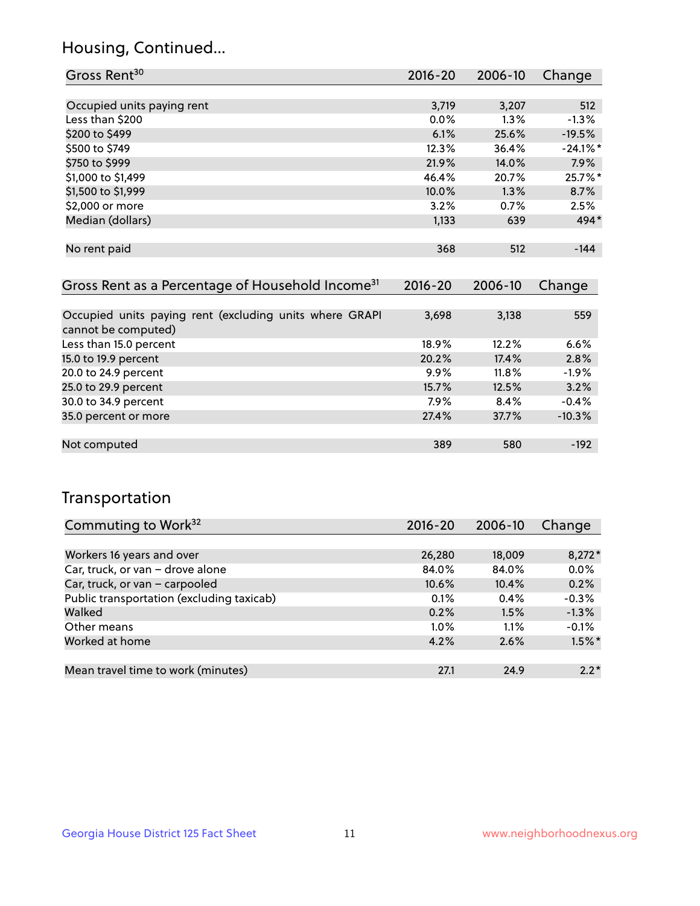## Housing, Continued...

| Gross Rent <sup>30</sup>   | 2016-20 | 2006-10 | Change   |
|----------------------------|---------|---------|----------|
|                            |         |         |          |
| Occupied units paying rent | 3,719   | 3,207   | 512      |
| Less than \$200            | $0.0\%$ | $1.3\%$ | $-1.3%$  |
| \$200 to \$499             | 6.1%    | 25.6%   | $-19.5%$ |
| \$500 to \$749             | 12.3%   | 36.4%   | $-24.1%$ |
| \$750 to \$999             | 21.9%   | 14.0%   | 7.9%     |
| \$1,000 to \$1,499         | 46.4%   | 20.7%   | 25.7%*   |
| \$1,500 to \$1,999         | 10.0%   | 1.3%    | 8.7%     |
| \$2,000 or more            | 3.2%    | 0.7%    | 2.5%     |
| Median (dollars)           | 1,133   | 639     | 494*     |
|                            |         |         |          |
| No rent paid               | 368     | 512     | $-144$   |
|                            |         |         |          |

| Gross Rent as a Percentage of Household Income <sup>31</sup>                   | $2016 - 20$ | 2006-10 | Change   |
|--------------------------------------------------------------------------------|-------------|---------|----------|
|                                                                                |             |         |          |
| Occupied units paying rent (excluding units where GRAPI<br>cannot be computed) | 3,698       | 3,138   | 559      |
| Less than 15.0 percent                                                         | 18.9%       | 12.2%   | 6.6%     |
| 15.0 to 19.9 percent                                                           | 20.2%       | 17.4%   | 2.8%     |
| 20.0 to 24.9 percent                                                           | $9.9\%$     | 11.8%   | $-1.9%$  |
| 25.0 to 29.9 percent                                                           | 15.7%       | 12.5%   | 3.2%     |
| 30.0 to 34.9 percent                                                           | 7.9%        | 8.4%    | $-0.4%$  |
| 35.0 percent or more                                                           | 27.4%       | 37.7%   | $-10.3%$ |
|                                                                                |             |         |          |
| Not computed                                                                   | 389         | 580     | $-192$   |

## Transportation

| Commuting to Work <sup>32</sup>           | 2016-20 | 2006-10 | Change    |
|-------------------------------------------|---------|---------|-----------|
|                                           |         |         |           |
| Workers 16 years and over                 | 26,280  | 18,009  | $8,272*$  |
| Car, truck, or van - drove alone          | 84.0%   | 84.0%   | 0.0%      |
| Car, truck, or van - carpooled            | 10.6%   | 10.4%   | 0.2%      |
| Public transportation (excluding taxicab) | 0.1%    | 0.4%    | $-0.3%$   |
| Walked                                    | 0.2%    | 1.5%    | $-1.3%$   |
| Other means                               | $1.0\%$ | $1.1\%$ | $-0.1%$   |
| Worked at home                            | 4.2%    | 2.6%    | $1.5\%$ * |
|                                           |         |         |           |
| Mean travel time to work (minutes)        | 27.1    | 24.9    | $2.2*$    |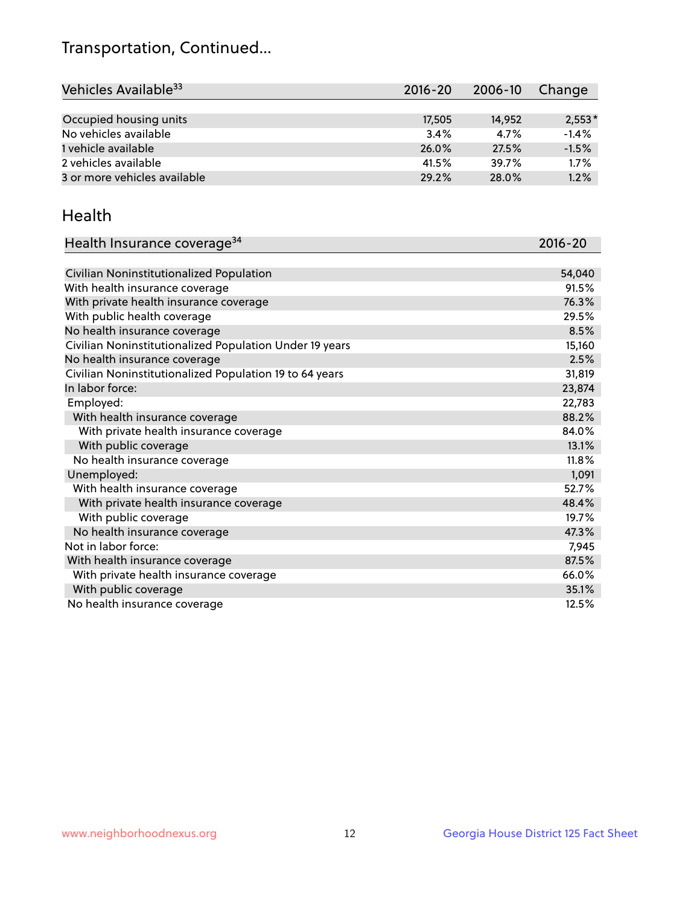## Transportation, Continued...

| Vehicles Available <sup>33</sup> | 2016-20 | 2006-10 | Change   |
|----------------------------------|---------|---------|----------|
|                                  |         |         |          |
| Occupied housing units           | 17,505  | 14.952  | $2,553*$ |
| No vehicles available            | 3.4%    | 4.7%    | $-1.4%$  |
| 1 vehicle available              | 26.0%   | 27.5%   | $-1.5%$  |
| 2 vehicles available             | 41.5%   | 39.7%   | 1.7%     |
| 3 or more vehicles available     | 29.2%   | 28.0%   | 1.2%     |

#### Health

| Health Insurance coverage <sup>34</sup>                 | 2016-20 |
|---------------------------------------------------------|---------|
|                                                         |         |
| Civilian Noninstitutionalized Population                | 54,040  |
| With health insurance coverage                          | 91.5%   |
| With private health insurance coverage                  | 76.3%   |
| With public health coverage                             | 29.5%   |
| No health insurance coverage                            | 8.5%    |
| Civilian Noninstitutionalized Population Under 19 years | 15,160  |
| No health insurance coverage                            | 2.5%    |
| Civilian Noninstitutionalized Population 19 to 64 years | 31,819  |
| In labor force:                                         | 23,874  |
| Employed:                                               | 22,783  |
| With health insurance coverage                          | 88.2%   |
| With private health insurance coverage                  | 84.0%   |
| With public coverage                                    | 13.1%   |
| No health insurance coverage                            | 11.8%   |
| Unemployed:                                             | 1,091   |
| With health insurance coverage                          | 52.7%   |
| With private health insurance coverage                  | 48.4%   |
| With public coverage                                    | 19.7%   |
| No health insurance coverage                            | 47.3%   |
| Not in labor force:                                     | 7,945   |
| With health insurance coverage                          | 87.5%   |
| With private health insurance coverage                  | 66.0%   |
| With public coverage                                    | 35.1%   |
| No health insurance coverage                            | 12.5%   |